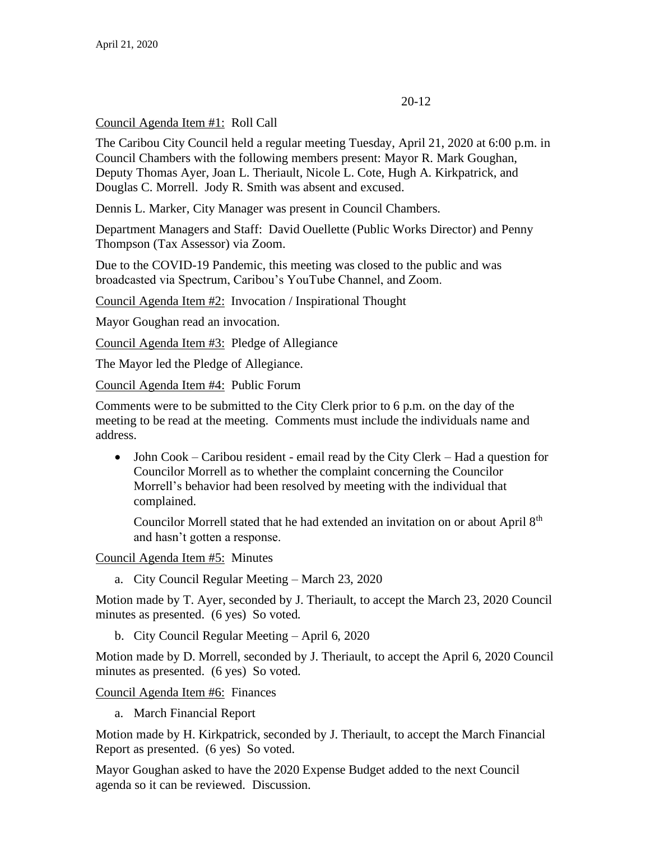# 20-12

Council Agenda Item #1: Roll Call

The Caribou City Council held a regular meeting Tuesday, April 21, 2020 at 6:00 p.m. in Council Chambers with the following members present: Mayor R. Mark Goughan, Deputy Thomas Ayer, Joan L. Theriault, Nicole L. Cote, Hugh A. Kirkpatrick, and Douglas C. Morrell. Jody R. Smith was absent and excused.

Dennis L. Marker, City Manager was present in Council Chambers.

Department Managers and Staff: David Ouellette (Public Works Director) and Penny Thompson (Tax Assessor) via Zoom.

Due to the COVID-19 Pandemic, this meeting was closed to the public and was broadcasted via Spectrum, Caribou's YouTube Channel, and Zoom.

Council Agenda Item #2: Invocation / Inspirational Thought

Mayor Goughan read an invocation.

Council Agenda Item #3: Pledge of Allegiance

The Mayor led the Pledge of Allegiance.

Council Agenda Item #4: Public Forum

Comments were to be submitted to the City Clerk prior to 6 p.m. on the day of the meeting to be read at the meeting. Comments must include the individuals name and address.

• John Cook – Caribou resident - email read by the City Clerk – Had a question for Councilor Morrell as to whether the complaint concerning the Councilor Morrell's behavior had been resolved by meeting with the individual that complained.

Councilor Morrell stated that he had extended an invitation on or about April 8<sup>th</sup> and hasn't gotten a response.

Council Agenda Item #5: Minutes

a. City Council Regular Meeting – March 23, 2020

Motion made by T. Ayer, seconded by J. Theriault, to accept the March 23, 2020 Council minutes as presented. (6 yes) So voted.

b. City Council Regular Meeting – April 6, 2020

Motion made by D. Morrell, seconded by J. Theriault, to accept the April 6, 2020 Council minutes as presented. (6 yes) So voted.

Council Agenda Item #6: Finances

a. March Financial Report

Motion made by H. Kirkpatrick, seconded by J. Theriault, to accept the March Financial Report as presented. (6 yes) So voted.

Mayor Goughan asked to have the 2020 Expense Budget added to the next Council agenda so it can be reviewed. Discussion.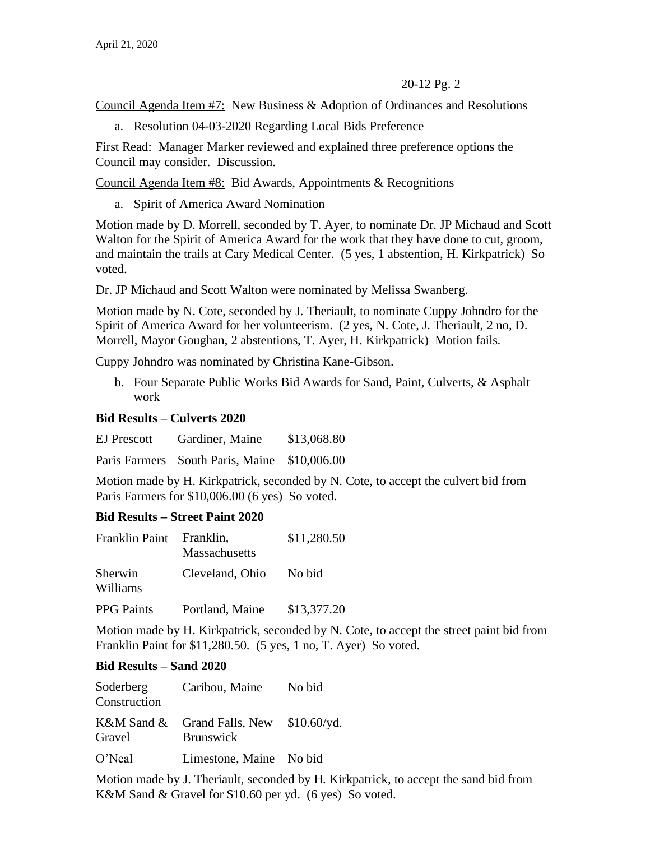Council Agenda Item #7: New Business & Adoption of Ordinances and Resolutions

a. Resolution 04-03-2020 Regarding Local Bids Preference

First Read: Manager Marker reviewed and explained three preference options the Council may consider. Discussion.

Council Agenda Item #8: Bid Awards, Appointments & Recognitions

a. Spirit of America Award Nomination

Motion made by D. Morrell, seconded by T. Ayer, to nominate Dr. JP Michaud and Scott Walton for the Spirit of America Award for the work that they have done to cut, groom, and maintain the trails at Cary Medical Center. (5 yes, 1 abstention, H. Kirkpatrick) So voted.

Dr. JP Michaud and Scott Walton were nominated by Melissa Swanberg.

Motion made by N. Cote, seconded by J. Theriault, to nominate Cuppy Johndro for the Spirit of America Award for her volunteerism. (2 yes, N. Cote, J. Theriault, 2 no, D. Morrell, Mayor Goughan, 2 abstentions, T. Ayer, H. Kirkpatrick) Motion fails.

Cuppy Johndro was nominated by Christina Kane-Gibson.

b. Four Separate Public Works Bid Awards for Sand, Paint, Culverts, & Asphalt work

### **Bid Results – Culverts 2020**

EJ Prescott Gardiner, Maine \$13,068.80

Paris Farmers South Paris, Maine \$10,006.00

Motion made by H. Kirkpatrick, seconded by N. Cote, to accept the culvert bid from Paris Farmers for \$10,006.00 (6 yes) So voted.

# **Bid Results – Street Paint 2020**

| Franklin Paint      | Franklin,<br>Massachusetts | \$11,280.50 |
|---------------------|----------------------------|-------------|
| Sherwin<br>Williams | Cleveland, Ohio            | No bid      |
| <b>PPG</b> Paints   | Portland, Maine            | \$13,377.20 |

Motion made by H. Kirkpatrick, seconded by N. Cote, to accept the street paint bid from Franklin Paint for \$11,280.50. (5 yes, 1 no, T. Ayer) So voted.

# **Bid Results – Sand 2020**

| Soderberg<br>Construction | Caribou, Maine                                                       | No bid |
|---------------------------|----------------------------------------------------------------------|--------|
| Gravel                    | K&M Sand & Grand Falls, New $$10.60/\text{yd}$ .<br><b>Brunswick</b> |        |

O'Neal Limestone, Maine No bid

Motion made by J. Theriault, seconded by H. Kirkpatrick, to accept the sand bid from K&M Sand & Gravel for \$10.60 per yd. (6 yes) So voted.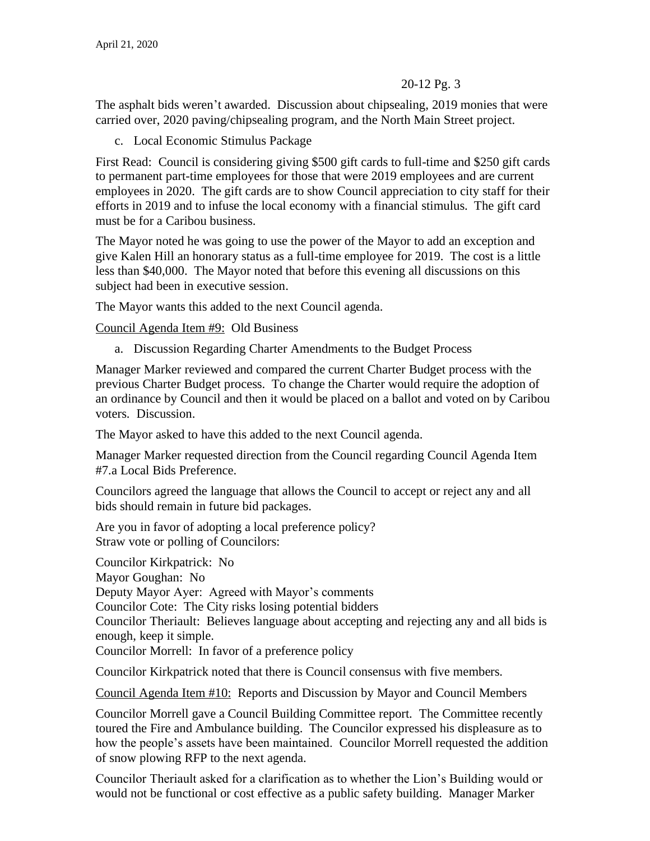The asphalt bids weren't awarded. Discussion about chipsealing, 2019 monies that were carried over, 2020 paving/chipsealing program, and the North Main Street project.

c. Local Economic Stimulus Package

First Read: Council is considering giving \$500 gift cards to full-time and \$250 gift cards to permanent part-time employees for those that were 2019 employees and are current employees in 2020. The gift cards are to show Council appreciation to city staff for their efforts in 2019 and to infuse the local economy with a financial stimulus. The gift card must be for a Caribou business.

The Mayor noted he was going to use the power of the Mayor to add an exception and give Kalen Hill an honorary status as a full-time employee for 2019. The cost is a little less than \$40,000. The Mayor noted that before this evening all discussions on this subject had been in executive session.

The Mayor wants this added to the next Council agenda.

Council Agenda Item #9: Old Business

a. Discussion Regarding Charter Amendments to the Budget Process

Manager Marker reviewed and compared the current Charter Budget process with the previous Charter Budget process. To change the Charter would require the adoption of an ordinance by Council and then it would be placed on a ballot and voted on by Caribou voters. Discussion.

The Mayor asked to have this added to the next Council agenda.

Manager Marker requested direction from the Council regarding Council Agenda Item #7.a Local Bids Preference.

Councilors agreed the language that allows the Council to accept or reject any and all bids should remain in future bid packages.

Are you in favor of adopting a local preference policy? Straw vote or polling of Councilors:

Councilor Kirkpatrick: No Mayor Goughan: No Deputy Mayor Ayer: Agreed with Mayor's comments Councilor Cote: The City risks losing potential bidders Councilor Theriault: Believes language about accepting and rejecting any and all bids is enough, keep it simple. Councilor Morrell: In favor of a preference policy

Councilor Kirkpatrick noted that there is Council consensus with five members.

Council Agenda Item #10: Reports and Discussion by Mayor and Council Members

Councilor Morrell gave a Council Building Committee report. The Committee recently toured the Fire and Ambulance building. The Councilor expressed his displeasure as to how the people's assets have been maintained. Councilor Morrell requested the addition of snow plowing RFP to the next agenda.

Councilor Theriault asked for a clarification as to whether the Lion's Building would or would not be functional or cost effective as a public safety building. Manager Marker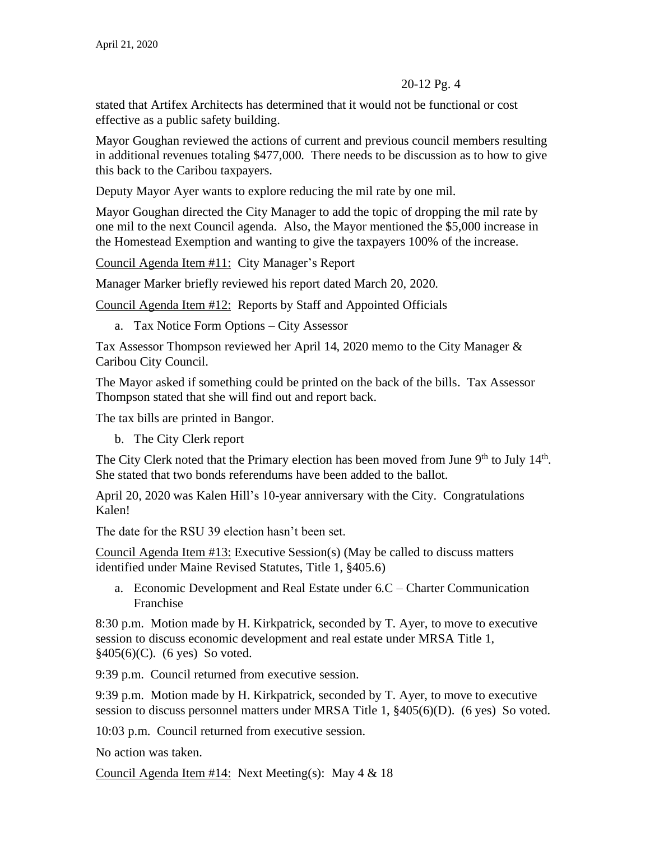stated that Artifex Architects has determined that it would not be functional or cost effective as a public safety building.

Mayor Goughan reviewed the actions of current and previous council members resulting in additional revenues totaling \$477,000. There needs to be discussion as to how to give this back to the Caribou taxpayers.

Deputy Mayor Ayer wants to explore reducing the mil rate by one mil.

Mayor Goughan directed the City Manager to add the topic of dropping the mil rate by one mil to the next Council agenda. Also, the Mayor mentioned the \$5,000 increase in the Homestead Exemption and wanting to give the taxpayers 100% of the increase.

Council Agenda Item #11: City Manager's Report

Manager Marker briefly reviewed his report dated March 20, 2020.

Council Agenda Item #12: Reports by Staff and Appointed Officials

a. Tax Notice Form Options – City Assessor

Tax Assessor Thompson reviewed her April 14, 2020 memo to the City Manager & Caribou City Council.

The Mayor asked if something could be printed on the back of the bills. Tax Assessor Thompson stated that she will find out and report back.

The tax bills are printed in Bangor.

b. The City Clerk report

The City Clerk noted that the Primary election has been moved from June  $9<sup>th</sup>$  to July  $14<sup>th</sup>$ . She stated that two bonds referendums have been added to the ballot.

April 20, 2020 was Kalen Hill's 10-year anniversary with the City. Congratulations Kalen!

The date for the RSU 39 election hasn't been set.

Council Agenda Item  $#13$ : Executive Session(s) (May be called to discuss matters identified under Maine Revised Statutes, Title 1, §405.6)

a. Economic Development and Real Estate under 6.C – Charter Communication Franchise

8:30 p.m. Motion made by H. Kirkpatrick, seconded by T. Ayer, to move to executive session to discuss economic development and real estate under MRSA Title 1, §405(6)(C). (6 yes) So voted.

9:39 p.m. Council returned from executive session.

9:39 p.m. Motion made by H. Kirkpatrick, seconded by T. Ayer, to move to executive session to discuss personnel matters under MRSA Title 1, §405(6)(D). (6 yes) So voted.

10:03 p.m. Council returned from executive session.

No action was taken.

Council Agenda Item  $#14$ : Next Meeting(s): May 4 & 18